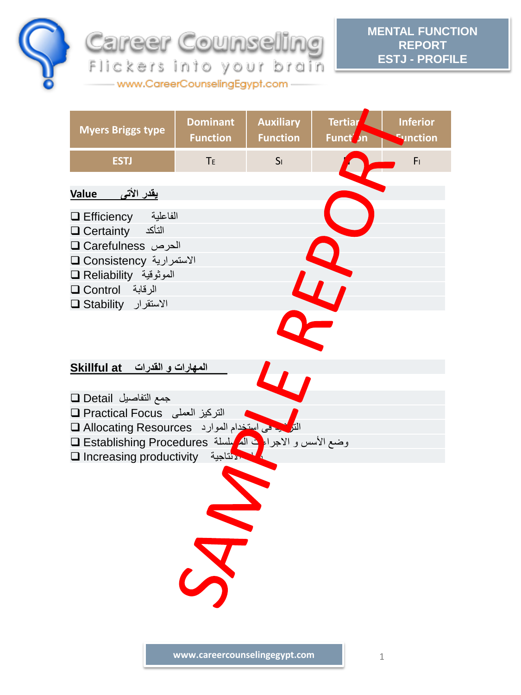

**MENTAL FUNCTION Career Counseling REPORT ESTJ - PROFILE** Flickers into your brain

**Myers Briggs type Dominant Function Auxiliary Function Tertiar Funct** *I*n **Inferior Function ESTJ** TE ISI NEWSLET **يقدر األتى Value** Efficiency الفاعلية Certainty التأكد Carefulness الحرص Consistency االستمرارية Reliability الموثوقية Control الرقابة Stability االستقرار  **المهارات و القدرات at Skillful** جمع التفاصيل Detail Practical Focus العملى التركيز الترشيد فى استخدام الموارد Resources Allocating وضع الأسس و الاجراء في المتسلسلة Establishing Procedures ق Increasing productivity االنتاجية زيادة

www.CareerCounselingEgypt.com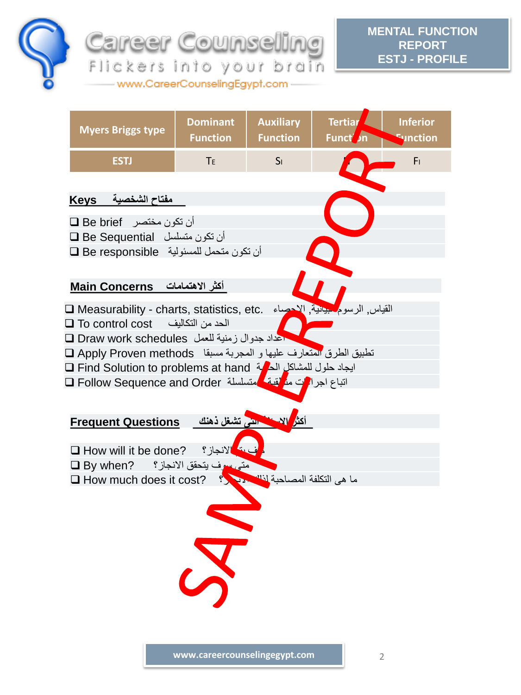

**MENTAL FUNCTION REPORT ESTJ - PROFILE**

**Myers Briggs type Dominant Function Auxiliary Function Tertiar Funct Inferior Function ESTJ** TE ISI NEWSLET  **مفتاح الشخصية Keys**  $\Box$  Be brief فنتصر  $\Box$ أن تكون متسلسل Sequential Be أن تكون متحمل للمسئولية responsible Be **أكثر االهتمامات Concerns Main** Measurability - charts, statistics, etc. االحصاء ,البيانية الرسوم ,القياس To control cost التكاليف من الحد اعداد جدوال زمنية للعمل schedules work Draw تطبيق الطرق المتعارف عليها و المجربة مسبقا methods Proven Apply Find Solution to problems at hand الحالية للمشاكل حلول ايجاد اتباع اجرادات م<mark>ن</mark>ظقية متسلسلة G Follow Sequence and Order ا  **أكثر االسئلة التى تشغل ذهنك Questions Frequent** How will it be done? االنجاز؟ يتم كيف متى سوف يتحقق االنجاز؟ ?when By ما هى التكلفة المصاحبة لغلك الأعلام التكلفة المصاحبة لمناسب النجاز؟ . السبت العدم السببة التجارية ال

**Career Counseling** 

Flickers into your brain www.CareerCounselingEgypt.com